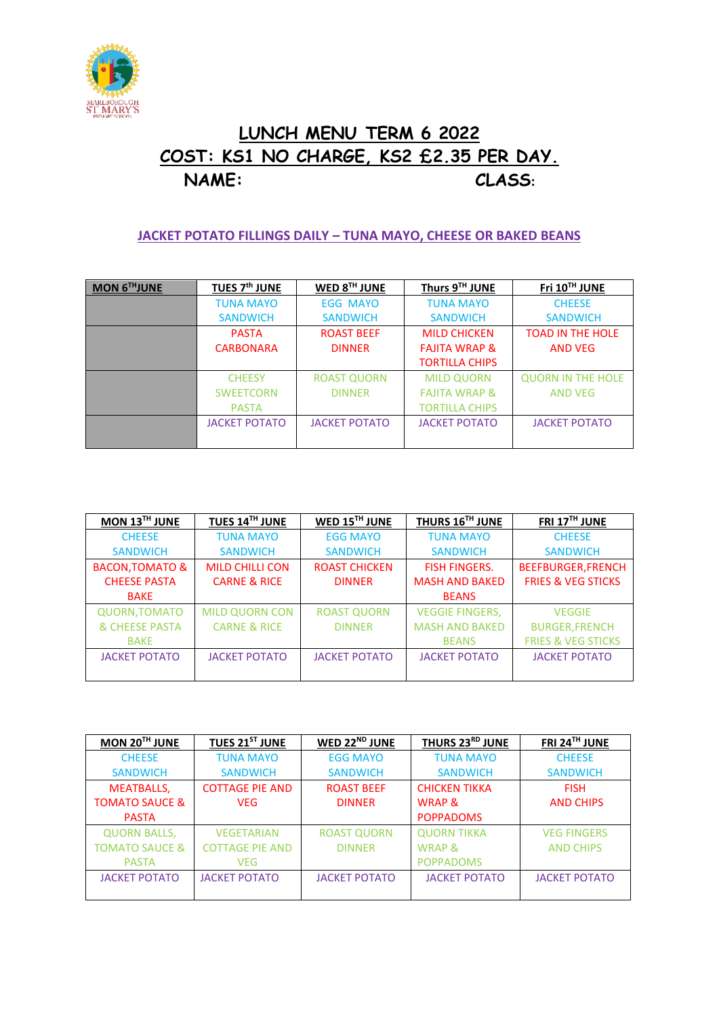

## **LUNCH MENU TERM 6 2022 COST: KS1 NO CHARGE, KS2 £2.35 PER DAY. NAME: CLASS:**

## **JACKET POTATO FILLINGS DAILY – TUNA MAYO, CHEESE OR BAKED BEANS**

| MON 6THJUNE | TUES 7 <sup>th</sup> JUNE | WED 8TH JUNE         | Thurs 9TH JUNE           | Fri 10TH JUNE            |
|-------------|---------------------------|----------------------|--------------------------|--------------------------|
|             | <b>TUNA MAYO</b>          | <b>EGG MAYO</b>      | <b>TUNA MAYO</b>         | <b>CHEESE</b>            |
|             | <b>SANDWICH</b>           | <b>SANDWICH</b>      | <b>SANDWICH</b>          | <b>SANDWICH</b>          |
|             | <b>PASTA</b>              | <b>ROAST BEEF</b>    | <b>MILD CHICKEN</b>      | <b>TOAD IN THE HOLE</b>  |
|             | <b>CARBONARA</b>          | <b>DINNER</b>        | <b>FAJITA WRAP &amp;</b> | <b>AND VEG</b>           |
|             |                           |                      | <b>TORTILLA CHIPS</b>    |                          |
|             | <b>CHEESY</b>             | <b>ROAST QUORN</b>   | <b>MILD QUORN</b>        | <b>QUORN IN THE HOLE</b> |
|             | <b>SWEETCORN</b>          | <b>DINNER</b>        | <b>FAJITA WRAP &amp;</b> | <b>AND VEG</b>           |
|             | <b>PASTA</b>              |                      | <b>TORTILLA CHIPS</b>    |                          |
|             | <b>JACKET POTATO</b>      | <b>JACKET POTATO</b> | <b>JACKET POTATO</b>     | <b>JACKET POTATO</b>     |
|             |                           |                      |                          |                          |

| MON 13TH JUNE              | TUES 14TH JUNE          | WED 15TH JUNE        | THURS 16TH JUNE        | FRI 17TH JUNE                 |
|----------------------------|-------------------------|----------------------|------------------------|-------------------------------|
| <b>CHEESE</b>              | <b>TUNA MAYO</b>        | <b>EGG MAYO</b>      | <b>TUNA MAYO</b>       | <b>CHEESE</b>                 |
| <b>SANDWICH</b>            | <b>SANDWICH</b>         | <b>SANDWICH</b>      | <b>SANDWICH</b>        | <b>SANDWICH</b>               |
| <b>BACON, TOMATO &amp;</b> | <b>MILD CHILLI CON</b>  | <b>ROAST CHICKEN</b> | <b>FISH FINGERS.</b>   | <b>BEEFBURGER, FRENCH</b>     |
| <b>CHEESE PASTA</b>        | <b>CARNE &amp; RICE</b> | <b>DINNER</b>        | <b>MASH AND BAKED</b>  | <b>FRIES &amp; VEG STICKS</b> |
| <b>BAKE</b>                |                         |                      | <b>BEANS</b>           |                               |
| <b>QUORN, TOMATO</b>       | <b>MILD QUORN CON</b>   | <b>ROAST QUORN</b>   | <b>VEGGIE FINGERS,</b> | <b>VEGGIE</b>                 |
| & CHEESE PASTA             | <b>CARNE &amp; RICE</b> | <b>DINNER</b>        | <b>MASH AND BAKED</b>  | <b>BURGER, FRENCH</b>         |
| <b>BAKE</b>                |                         |                      | <b>BEANS</b>           | <b>FRIES &amp; VEG STICKS</b> |
| <b>JACKET POTATO</b>       | <b>JACKET POTATO</b>    | <b>JACKET POTATO</b> | <b>JACKET POTATO</b>   | <b>JACKET POTATO</b>          |
|                            |                         |                      |                        |                               |

| MON 20TH JUNE             | TUES 21ST JUNE         | WED 22 <sup>ND</sup> JUNE | THURS 23RD JUNE      | FRI 24TH JUNE        |
|---------------------------|------------------------|---------------------------|----------------------|----------------------|
| <b>CHEESE</b>             | <b>TUNA MAYO</b>       | <b>EGG MAYO</b>           | <b>TUNA MAYO</b>     | <b>CHEESE</b>        |
| <b>SANDWICH</b>           | <b>SANDWICH</b>        | <b>SANDWICH</b>           | <b>SANDWICH</b>      | <b>SANDWICH</b>      |
| <b>MEATBALLS,</b>         | <b>COTTAGE PIE AND</b> | <b>ROAST BEEF</b>         | <b>CHICKEN TIKKA</b> | <b>FISH</b>          |
| <b>TOMATO SAUCE &amp;</b> | <b>VEG</b>             | <b>DINNER</b>             | <b>WRAP &amp;</b>    | <b>AND CHIPS</b>     |
| <b>PASTA</b>              |                        |                           | <b>POPPADOMS</b>     |                      |
| <b>QUORN BALLS,</b>       | <b>VEGETARIAN</b>      | <b>ROAST QUORN</b>        | <b>QUORN TIKKA</b>   | <b>VEG FINGERS</b>   |
| <b>TOMATO SAUCE &amp;</b> | <b>COTTAGE PIE AND</b> | <b>DINNER</b>             | <b>WRAP &amp;</b>    | <b>AND CHIPS</b>     |
| <b>PASTA</b>              | <b>VEG</b>             |                           | <b>POPPADOMS</b>     |                      |
| <b>JACKET POTATO</b>      | <b>JACKET POTATO</b>   | <b>JACKET POTATO</b>      | <b>JACKET POTATO</b> | <b>JACKET POTATO</b> |
|                           |                        |                           |                      |                      |